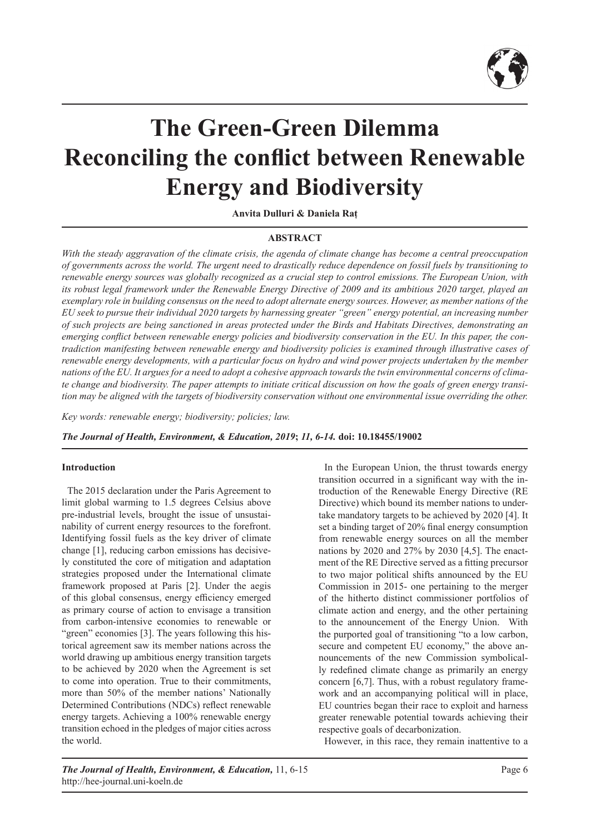

# **The Green-Green Dilemma Reconciling the conflict between Renewable Energy and Biodiversity**

**Anvita Dulluri & Daniela Raț**

## **ABSTRACT**

*With the steady aggravation of the climate crisis, the agenda of climate change has become a central preoccupation of governments across the world. The urgent need to drastically reduce dependence on fossil fuels by transitioning to renewable energy sources was globally recognized as a crucial step to control emissions. The European Union, with its robust legal framework under the Renewable Energy Directive of 2009 and its ambitious 2020 target, played an exemplary role in building consensus on the need to adopt alternate energy sources. However, as member nations of the EU seek to pursue their individual 2020 targets by harnessing greater "green" energy potential, an increasing number of such projects are being sanctioned in areas protected under the Birds and Habitats Directives, demonstrating an emerging conflict between renewable energy policies and biodiversity conservation in the EU. In this paper, the contradiction manifesting between renewable energy and biodiversity policies is examined through illustrative cases of renewable energy developments, with a particular focus on hydro and wind power projects undertaken by the member nations of the EU. It argues for a need to adopt a cohesive approach towards the twin environmental concerns of climate change and biodiversity. The paper attempts to initiate critical discussion on how the goals of green energy transition may be aligned with the targets of biodiversity conservation without one environmental issue overriding the other.*

*Key words: renewable energy; biodiversity; policies; law.*

*The Journal of Health, Environment, & Education, 2019***;** *11, 6-14.* **doi: 10.18455/19002**

#### **Introduction**

The 2015 declaration under the Paris Agreement to limit global warming to 1.5 degrees Celsius above pre-industrial levels, brought the issue of unsustainability of current energy resources to the forefront. Identifying fossil fuels as the key driver of climate change [1], reducing carbon emissions has decisively constituted the core of mitigation and adaptation strategies proposed under the International climate framework proposed at Paris [2]. Under the aegis of this global consensus, energy efficiency emerged as primary course of action to envisage a transition from carbon-intensive economies to renewable or "green" economies [3]. The years following this historical agreement saw its member nations across the world drawing up ambitious energy transition targets to be achieved by 2020 when the Agreement is set to come into operation. True to their commitments, more than 50% of the member nations' Nationally Determined Contributions (NDCs) reflect renewable energy targets. Achieving a 100% renewable energy transition echoed in the pledges of major cities across the world.

In the European Union, the thrust towards energy transition occurred in a significant way with the introduction of the Renewable Energy Directive (RE Directive) which bound its member nations to undertake mandatory targets to be achieved by 2020 [4]. It set a binding target of 20% final energy consumption from renewable energy sources on all the member nations by 2020 and 27% by 2030 [4,5]. The enactment of the RE Directive served as a fitting precursor to two major political shifts announced by the EU Commission in 2015- one pertaining to the merger of the hitherto distinct commissioner portfolios of climate action and energy, and the other pertaining to the announcement of the Energy Union. With the purported goal of transitioning "to a low carbon, secure and competent EU economy," the above announcements of the new Commission symbolically redefined climate change as primarily an energy concern [6,7]. Thus, with a robust regulatory framework and an accompanying political will in place, EU countries began their race to exploit and harness greater renewable potential towards achieving their respective goals of decarbonization.

However, in this race, they remain inattentive to a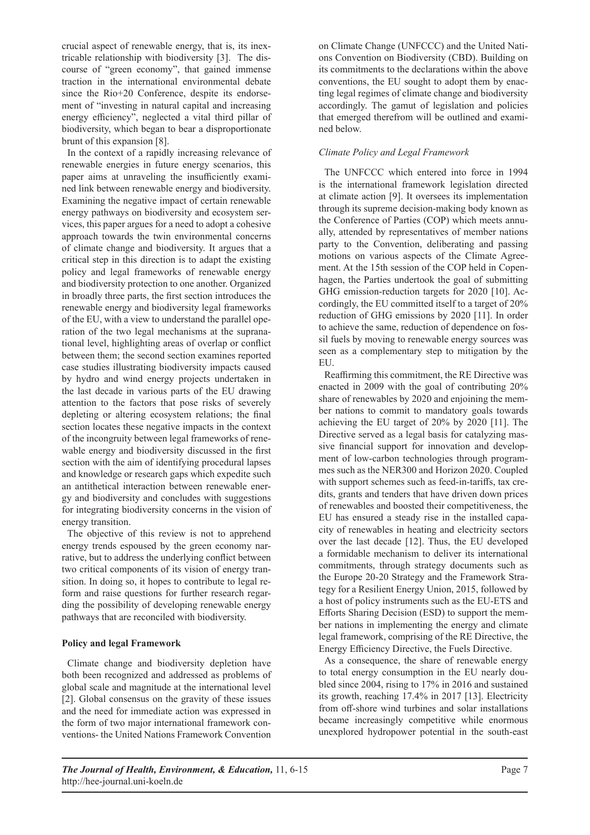crucial aspect of renewable energy, that is, its inextricable relationship with biodiversity [3]. The discourse of "green economy", that gained immense traction in the international environmental debate since the Rio+20 Conference, despite its endorsement of "investing in natural capital and increasing energy efficiency", neglected a vital third pillar of biodiversity, which began to bear a disproportionate brunt of this expansion [8].

In the context of a rapidly increasing relevance of renewable energies in future energy scenarios, this paper aims at unraveling the insufficiently examined link between renewable energy and biodiversity. Examining the negative impact of certain renewable energy pathways on biodiversity and ecosystem services, this paper argues for a need to adopt a cohesive approach towards the twin environmental concerns of climate change and biodiversity. It argues that a critical step in this direction is to adapt the existing policy and legal frameworks of renewable energy and biodiversity protection to one another. Organized in broadly three parts, the first section introduces the renewable energy and biodiversity legal frameworks of the EU, with a view to understand the parallel operation of the two legal mechanisms at the supranational level, highlighting areas of overlap or conflict between them; the second section examines reported case studies illustrating biodiversity impacts caused by hydro and wind energy projects undertaken in the last decade in various parts of the EU drawing attention to the factors that pose risks of severely depleting or altering ecosystem relations; the final section locates these negative impacts in the context of the incongruity between legal frameworks of renewable energy and biodiversity discussed in the first section with the aim of identifying procedural lapses and knowledge or research gaps which expedite such an antithetical interaction between renewable energy and biodiversity and concludes with suggestions for integrating biodiversity concerns in the vision of energy transition.

The objective of this review is not to apprehend energy trends espoused by the green economy narrative, but to address the underlying conflict between two critical components of its vision of energy transition. In doing so, it hopes to contribute to legal reform and raise questions for further research regarding the possibility of developing renewable energy pathways that are reconciled with biodiversity.

# **Policy and legal Framework**

Climate change and biodiversity depletion have both been recognized and addressed as problems of global scale and magnitude at the international level [2]. Global consensus on the gravity of these issues and the need for immediate action was expressed in the form of two major international framework conventions- the United Nations Framework Convention

on Climate Change (UNFCCC) and the United Nations Convention on Biodiversity (CBD). Building on its commitments to the declarations within the above conventions, the EU sought to adopt them by enacting legal regimes of climate change and biodiversity accordingly. The gamut of legislation and policies that emerged therefrom will be outlined and examined below.

# *Climate Policy and Legal Framework*

The UNFCCC which entered into force in 1994 is the international framework legislation directed at climate action [9]. It oversees its implementation through its supreme decision-making body known as the Conference of Parties (COP) which meets annually, attended by representatives of member nations party to the Convention, deliberating and passing motions on various aspects of the Climate Agreement. At the 15th session of the COP held in Copenhagen, the Parties undertook the goal of submitting GHG emission-reduction targets for 2020 [10]. Accordingly, the EU committed itself to a target of 20% reduction of GHG emissions by 2020 [11]. In order to achieve the same, reduction of dependence on fossil fuels by moving to renewable energy sources was seen as a complementary step to mitigation by the EU.

Reaffirming this commitment, the RE Directive was enacted in 2009 with the goal of contributing 20% share of renewables by 2020 and enjoining the member nations to commit to mandatory goals towards achieving the EU target of 20% by 2020 [11]. The Directive served as a legal basis for catalyzing massive financial support for innovation and development of low-carbon technologies through programmes such as the NER300 and Horizon 2020. Coupled with support schemes such as feed-in-tariffs, tax credits, grants and tenders that have driven down prices of renewables and boosted their competitiveness, the EU has ensured a steady rise in the installed capacity of renewables in heating and electricity sectors over the last decade [12]. Thus, the EU developed a formidable mechanism to deliver its international commitments, through strategy documents such as the Europe 20-20 Strategy and the Framework Strategy for a Resilient Energy Union, 2015, followed by a host of policy instruments such as the EU-ETS and Efforts Sharing Decision (ESD) to support the member nations in implementing the energy and climate legal framework, comprising of the RE Directive, the Energy Efficiency Directive, the Fuels Directive.

As a consequence, the share of renewable energy to total energy consumption in the EU nearly doubled since 2004, rising to 17% in 2016 and sustained its growth, reaching 17.4% in 2017 [13]. Electricity from off-shore wind turbines and solar installations became increasingly competitive while enormous unexplored hydropower potential in the south-east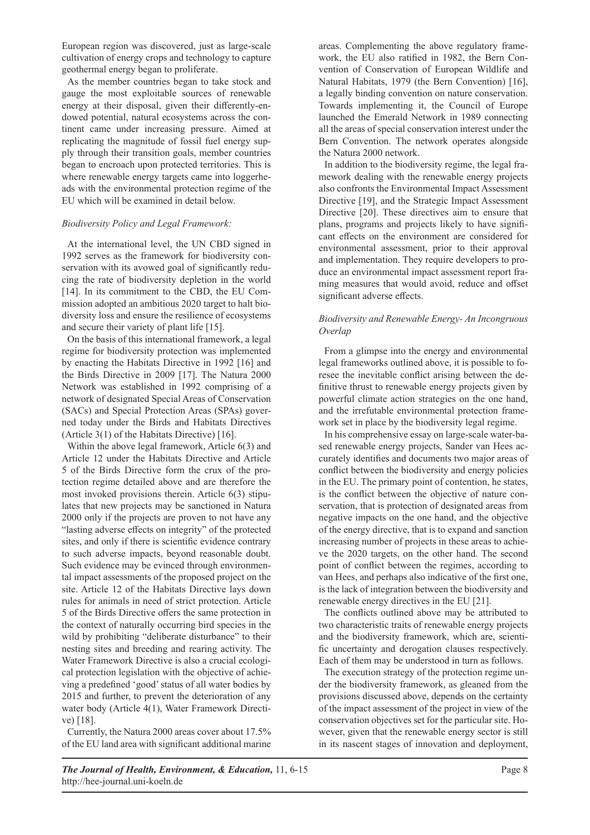European region was discovered, just as large-scale cultivation of energy crops and technology to capture geothermal energy began to proliferate.

As the member countries began to take stock and gauge the most exploitable sources of renewable energy at their disposal, given their differently-endowed potential, natural ecosystems across the continent came under increasing pressure. Aimed at replicating the magnitude of fossil fuel energy supply through their transition goals, member countries began to encroach upon protected territories. This is where renewable energy targets came into loggerheads with the environmental protection regime of the EU which will be examined in detail below.

# *Biodiversity Policy and Legal Framework:*

At the international level, the UN CBD signed in 1992 serves as the framework for biodiversity conservation with its avowed goal of significantly reducing the rate of biodiversity depletion in the world [14]. In its commitment to the CBD, the EU Commission adopted an ambitious 2020 target to halt biodiversity loss and ensure the resilience of ecosystems and secure their variety of plant life [15].

On the basis of this international framework, a legal regime for biodiversity protection was implemented by enacting the Habitats Directive in 1992 [16] and the Birds Directive in 2009 [17]. The Natura 2000 Network was established in 1992 comprising of a network of designated Special Areas of Conservation (SACs) and Special Protection Areas (SPAs) governed today under the Birds and Habitats Directives (Article 3(1) of the Habitats Directive) [16].

Within the above legal framework, Article 6(3) and Article 12 under the Habitats Directive and Article 5 of the Birds Directive form the crux of the protection regime detailed above and are therefore the most invoked provisions therein. Article 6(3) stipulates that new projects may be sanctioned in Natura 2000 only if the projects are proven to not have any "lasting adverse effects on integrity" of the protected sites, and only if there is scientific evidence contrary to such adverse impacts, beyond reasonable doubt. Such evidence may be evinced through environmental impact assessments of the proposed project on the site. Article 12 of the Habitats Directive lays down rules for animals in need of strict protection. Article 5 of the Birds Directive offers the same protection in the context of naturally occurring bird species in the wild by prohibiting "deliberate disturbance" to their nesting sites and breeding and rearing activity. The Water Framework Directive is also a crucial ecological protection legislation with the objective of achieving a predefined 'good' status of all water bodies by 2015 and further, to prevent the deterioration of any water body (Article 4(1), Water Framework Directive) [18].

Currently, the Natura 2000 areas cover about 17.5% of the EU land area with significant additional marine areas. Complementing the above regulatory framework, the EU also ratified in 1982, the Bern Convention of Conservation of European Wildlife and Natural Habitats, 1979 (the Bern Convention) [16], a legally binding convention on nature conservation. Towards implementing it, the Council of Europe launched the Emerald Network in 1989 connecting all the areas of special conservation interest under the Bern Convention. The network operates alongside the Natura 2000 network.

In addition to the biodiversity regime, the legal framework dealing with the renewable energy projects also confronts the Environmental Impact Assessment Directive [19], and the Strategic Impact Assessment Directive [20]. These directives aim to ensure that plans, programs and projects likely to have significant effects on the environment are considered for environmental assessment, prior to their approval and implementation. They require developers to produce an environmental impact assessment report framing measures that would avoid, reduce and offset significant adverse effects.

# *Biodiversity and Renewable Energy- An Incongruous Overlap*

From a glimpse into the energy and environmental legal frameworks outlined above, it is possible to foresee the inevitable conflict arising between the definitive thrust to renewable energy projects given by powerful climate action strategies on the one hand, and the irrefutable environmental protection framework set in place by the biodiversity legal regime.

In his comprehensive essay on large-scale water-based renewable energy projects, Sander van Hees accurately identifies and documents two major areas of conflict between the biodiversity and energy policies in the EU. The primary point of contention, he states, is the conflict between the objective of nature conservation, that is protection of designated areas from negative impacts on the one hand, and the objective of the energy directive, that is to expand and sanction increasing number of projects in these areas to achieve the 2020 targets, on the other hand. The second point of conflict between the regimes, according to van Hees, and perhaps also indicative of the first one, is the lack of integration between the biodiversity and renewable energy directives in the EU [21].

The conflicts outlined above may be attributed to two characteristic traits of renewable energy projects and the biodiversity framework, which are, scientific uncertainty and derogation clauses respectively. Each of them may be understood in turn as follows.

The execution strategy of the protection regime under the biodiversity framework, as gleaned from the provisions discussed above, depends on the certainty of the impact assessment of the project in view of the conservation objectives set for the particular site. However, given that the renewable energy sector is still in its nascent stages of innovation and deployment,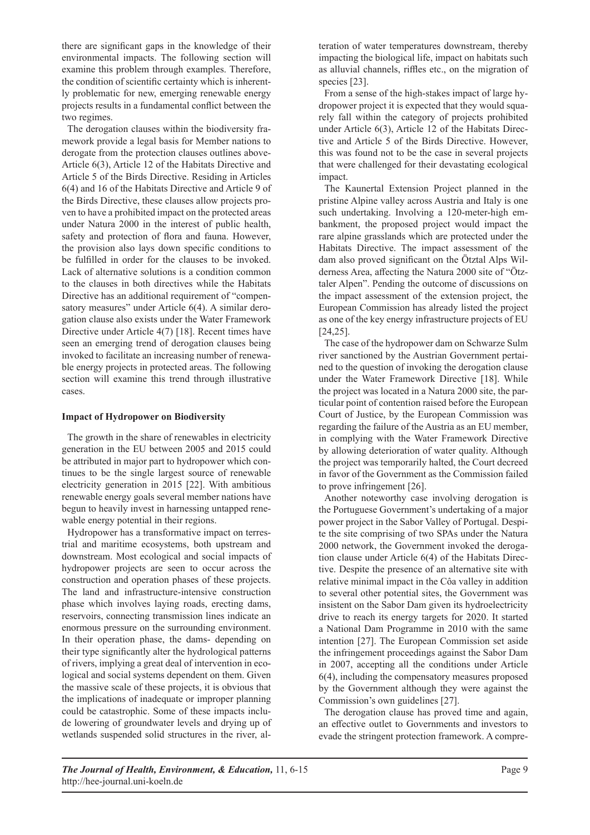there are significant gaps in the knowledge of their environmental impacts. The following section will examine this problem through examples. Therefore, the condition of scientific certainty which is inherently problematic for new, emerging renewable energy projects results in a fundamental conflict between the two regimes.

The derogation clauses within the biodiversity framework provide a legal basis for Member nations to derogate from the protection clauses outlines above-Article 6(3), Article 12 of the Habitats Directive and Article 5 of the Birds Directive. Residing in Articles 6(4) and 16 of the Habitats Directive and Article 9 of the Birds Directive, these clauses allow projects proven to have a prohibited impact on the protected areas under Natura 2000 in the interest of public health, safety and protection of flora and fauna. However, the provision also lays down specific conditions to be fulfilled in order for the clauses to be invoked. Lack of alternative solutions is a condition common to the clauses in both directives while the Habitats Directive has an additional requirement of "compensatory measures" under Article 6(4). A similar derogation clause also exists under the Water Framework Directive under Article 4(7) [18]. Recent times have seen an emerging trend of derogation clauses being invoked to facilitate an increasing number of renewable energy projects in protected areas. The following section will examine this trend through illustrative cases.

## **Impact of Hydropower on Biodiversity**

The growth in the share of renewables in electricity generation in the EU between 2005 and 2015 could be attributed in major part to hydropower which continues to be the single largest source of renewable electricity generation in 2015 [22]. With ambitious renewable energy goals several member nations have begun to heavily invest in harnessing untapped renewable energy potential in their regions.

Hydropower has a transformative impact on terrestrial and maritime ecosystems, both upstream and downstream. Most ecological and social impacts of hydropower projects are seen to occur across the construction and operation phases of these projects. The land and infrastructure-intensive construction phase which involves laying roads, erecting dams, reservoirs, connecting transmission lines indicate an enormous pressure on the surrounding environment. In their operation phase, the dams- depending on their type significantly alter the hydrological patterns of rivers, implying a great deal of intervention in ecological and social systems dependent on them. Given the massive scale of these projects, it is obvious that the implications of inadequate or improper planning could be catastrophic. Some of these impacts include lowering of groundwater levels and drying up of wetlands suspended solid structures in the river, alteration of water temperatures downstream, thereby impacting the biological life, impact on habitats such as alluvial channels, riffles etc., on the migration of species [23].

From a sense of the high-stakes impact of large hydropower project it is expected that they would squarely fall within the category of projects prohibited under Article 6(3), Article 12 of the Habitats Directive and Article 5 of the Birds Directive. However, this was found not to be the case in several projects that were challenged for their devastating ecological impact.

The Kaunertal Extension Project planned in the pristine Alpine valley across Austria and Italy is one such undertaking. Involving a 120-meter-high embankment, the proposed project would impact the rare alpine grasslands which are protected under the Habitats Directive. The impact assessment of the dam also proved significant on the Ötztal Alps Wilderness Area, affecting the Natura 2000 site of "Ötztaler Alpen". Pending the outcome of discussions on the impact assessment of the extension project, the European Commission has already listed the project as one of the key energy infrastructure projects of EU [24,25].

The case of the hydropower dam on Schwarze Sulm river sanctioned by the Austrian Government pertained to the question of invoking the derogation clause under the Water Framework Directive [18]. While the project was located in a Natura 2000 site, the particular point of contention raised before the European Court of Justice, by the European Commission was regarding the failure of the Austria as an EU member, in complying with the Water Framework Directive by allowing deterioration of water quality. Although the project was temporarily halted, the Court decreed in favor of the Government as the Commission failed to prove infringement [26].

Another noteworthy case involving derogation is the Portuguese Government's undertaking of a major power project in the Sabor Valley of Portugal. Despite the site comprising of two SPAs under the Natura 2000 network, the Government invoked the derogation clause under Article 6(4) of the Habitats Directive. Despite the presence of an alternative site with relative minimal impact in the Côa valley in addition to several other potential sites, the Government was insistent on the Sabor Dam given its hydroelectricity drive to reach its energy targets for 2020. It started a National Dam Programme in 2010 with the same intention [27]. The European Commission set aside the infringement proceedings against the Sabor Dam in 2007, accepting all the conditions under Article 6(4), including the compensatory measures proposed by the Government although they were against the Commission's own guidelines [27].

The derogation clause has proved time and again, an effective outlet to Governments and investors to evade the stringent protection framework. A compre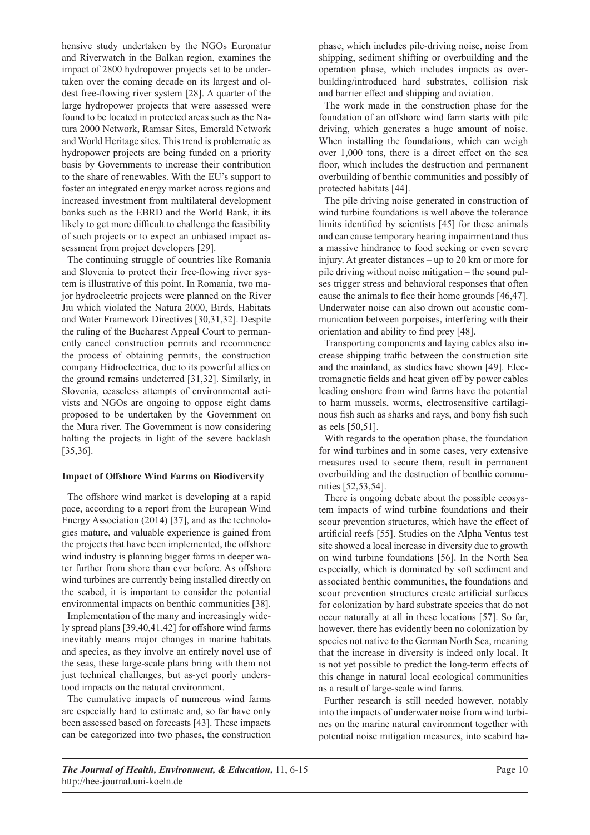hensive study undertaken by the NGOs Euronatur and Riverwatch in the Balkan region, examines the impact of 2800 hydropower projects set to be undertaken over the coming decade on its largest and oldest free-flowing river system [28]. A quarter of the large hydropower projects that were assessed were found to be located in protected areas such as the Natura 2000 Network, Ramsar Sites, Emerald Network and World Heritage sites. This trend is problematic as hydropower projects are being funded on a priority basis by Governments to increase their contribution to the share of renewables. With the EU's support to foster an integrated energy market across regions and increased investment from multilateral development banks such as the EBRD and the World Bank, it its likely to get more difficult to challenge the feasibility of such projects or to expect an unbiased impact assessment from project developers [29].

The continuing struggle of countries like Romania and Slovenia to protect their free-flowing river system is illustrative of this point. In Romania, two major hydroelectric projects were planned on the River Jiu which violated the Natura 2000, Birds, Habitats and Water Framework Directives [30,31,32]. Despite the ruling of the Bucharest Appeal Court to permanently cancel construction permits and recommence the process of obtaining permits, the construction company Hidroelectrica, due to its powerful allies on the ground remains undeterred [31,32]. Similarly, in Slovenia, ceaseless attempts of environmental activists and NGOs are ongoing to oppose eight dams proposed to be undertaken by the Government on the Mura river. The Government is now considering halting the projects in light of the severe backlash [35,36].

#### **Impact of Offshore Wind Farms on Biodiversity**

The offshore wind market is developing at a rapid pace, according to a report from the European Wind Energy Association (2014) [37], and as the technologies mature, and valuable experience is gained from the projects that have been implemented, the offshore wind industry is planning bigger farms in deeper water further from shore than ever before. As offshore wind turbines are currently being installed directly on the seabed, it is important to consider the potential environmental impacts on benthic communities [38].

Implementation of the many and increasingly widely spread plans [39,40,41,42] for offshore wind farms inevitably means major changes in marine habitats and species, as they involve an entirely novel use of the seas, these large-scale plans bring with them not just technical challenges, but as-yet poorly understood impacts on the natural environment.

The cumulative impacts of numerous wind farms are especially hard to estimate and, so far have only been assessed based on forecasts [43]. These impacts can be categorized into two phases, the construction

phase, which includes pile-driving noise, noise from shipping, sediment shifting or overbuilding and the operation phase, which includes impacts as overbuilding/introduced hard substrates, collision risk and barrier effect and shipping and aviation.

The work made in the construction phase for the foundation of an offshore wind farm starts with pile driving, which generates a huge amount of noise. When installing the foundations, which can weigh over 1,000 tons, there is a direct effect on the sea floor, which includes the destruction and permanent overbuilding of benthic communities and possibly of protected habitats [44].

The pile driving noise generated in construction of wind turbine foundations is well above the tolerance limits identified by scientists [45] for these animals and can cause temporary hearing impairment and thus a massive hindrance to food seeking or even severe injury. At greater distances – up to 20 km or more for pile driving without noise mitigation – the sound pulses trigger stress and behavioral responses that often cause the animals to flee their home grounds [46,47]. Underwater noise can also drown out acoustic communication between porpoises, interfering with their orientation and ability to find prey [48].

Transporting components and laying cables also increase shipping traffic between the construction site and the mainland, as studies have shown [49]. Electromagnetic fields and heat given off by power cables leading onshore from wind farms have the potential to harm mussels, worms, electrosensitive cartilaginous fish such as sharks and rays, and bony fish such as eels [50,51].

With regards to the operation phase, the foundation for wind turbines and in some cases, very extensive measures used to secure them, result in permanent overbuilding and the destruction of benthic communities [52,53,54].

There is ongoing debate about the possible ecosystem impacts of wind turbine foundations and their scour prevention structures, which have the effect of artificial reefs [55]. Studies on the Alpha Ventus test site showed a local increase in diversity due to growth on wind turbine foundations [56]. In the North Sea especially, which is dominated by soft sediment and associated benthic communities, the foundations and scour prevention structures create artificial surfaces for colonization by hard substrate species that do not occur naturally at all in these locations [57]. So far, however, there has evidently been no colonization by species not native to the German North Sea, meaning that the increase in diversity is indeed only local. It is not yet possible to predict the long-term effects of this change in natural local ecological communities as a result of large-scale wind farms.

Further research is still needed however, notably into the impacts of underwater noise from wind turbines on the marine natural environment together with potential noise mitigation measures, into seabird ha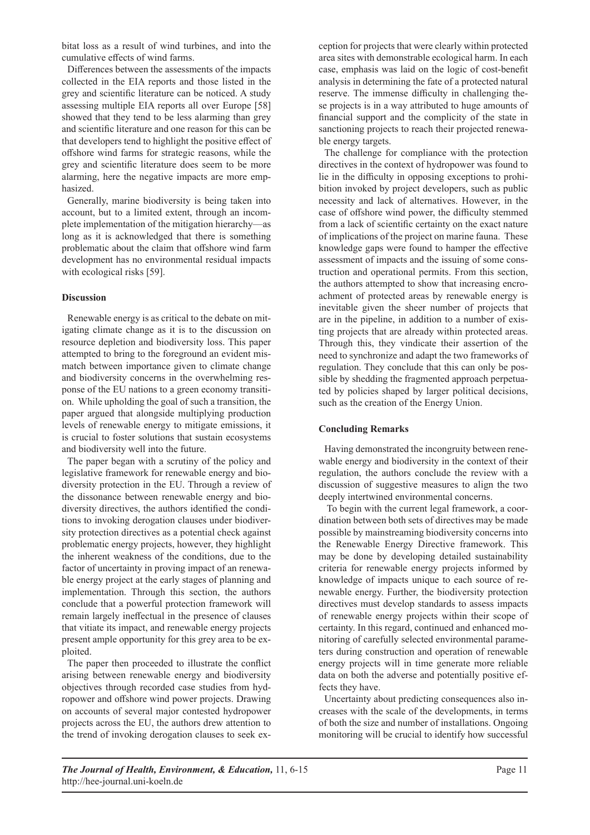bitat loss as a result of wind turbines, and into the cumulative effects of wind farms.

Differences between the assessments of the impacts collected in the EIA reports and those listed in the grey and scientific literature can be noticed. A study assessing multiple EIA reports all over Europe [58] showed that they tend to be less alarming than grey and scientific literature and one reason for this can be that developers tend to highlight the positive effect of offshore wind farms for strategic reasons, while the grey and scientific literature does seem to be more alarming, here the negative impacts are more emphasized.

Generally, marine biodiversity is being taken into account, but to a limited extent, through an incomplete implementation of the mitigation hierarchy—as long as it is acknowledged that there is something problematic about the claim that offshore wind farm development has no environmental residual impacts with ecological risks [59].

# **Discussion**

Renewable energy is as critical to the debate on mitigating climate change as it is to the discussion on resource depletion and biodiversity loss. This paper attempted to bring to the foreground an evident mismatch between importance given to climate change and biodiversity concerns in the overwhelming response of the EU nations to a green economy transition. While upholding the goal of such a transition, the paper argued that alongside multiplying production levels of renewable energy to mitigate emissions, it is crucial to foster solutions that sustain ecosystems and biodiversity well into the future.

The paper began with a scrutiny of the policy and legislative framework for renewable energy and biodiversity protection in the EU. Through a review of the dissonance between renewable energy and biodiversity directives, the authors identified the conditions to invoking derogation clauses under biodiversity protection directives as a potential check against problematic energy projects, however, they highlight the inherent weakness of the conditions, due to the factor of uncertainty in proving impact of an renewable energy project at the early stages of planning and implementation. Through this section, the authors conclude that a powerful protection framework will remain largely ineffectual in the presence of clauses that vitiate its impact, and renewable energy projects present ample opportunity for this grey area to be exploited.

The paper then proceeded to illustrate the conflict arising between renewable energy and biodiversity objectives through recorded case studies from hydropower and offshore wind power projects. Drawing on accounts of several major contested hydropower projects across the EU, the authors drew attention to the trend of invoking derogation clauses to seek exception for projects that were clearly within protected area sites with demonstrable ecological harm. In each case, emphasis was laid on the logic of cost-benefit analysis in determining the fate of a protected natural reserve. The immense difficulty in challenging these projects is in a way attributed to huge amounts of financial support and the complicity of the state in sanctioning projects to reach their projected renewable energy targets.

The challenge for compliance with the protection directives in the context of hydropower was found to lie in the difficulty in opposing exceptions to prohibition invoked by project developers, such as public necessity and lack of alternatives. However, in the case of offshore wind power, the difficulty stemmed from a lack of scientific certainty on the exact nature of implications of the project on marine fauna. These knowledge gaps were found to hamper the effective assessment of impacts and the issuing of some construction and operational permits. From this section, the authors attempted to show that increasing encroachment of protected areas by renewable energy is inevitable given the sheer number of projects that are in the pipeline, in addition to a number of existing projects that are already within protected areas. Through this, they vindicate their assertion of the need to synchronize and adapt the two frameworks of regulation. They conclude that this can only be possible by shedding the fragmented approach perpetuated by policies shaped by larger political decisions, such as the creation of the Energy Union.

# **Concluding Remarks**

Having demonstrated the incongruity between renewable energy and biodiversity in the context of their regulation, the authors conclude the review with a discussion of suggestive measures to align the two deeply intertwined environmental concerns.

 To begin with the current legal framework, a coordination between both sets of directives may be made possible by mainstreaming biodiversity concerns into the Renewable Energy Directive framework. This may be done by developing detailed sustainability criteria for renewable energy projects informed by knowledge of impacts unique to each source of renewable energy. Further, the biodiversity protection directives must develop standards to assess impacts of renewable energy projects within their scope of certainty. In this regard, continued and enhanced monitoring of carefully selected environmental parameters during construction and operation of renewable energy projects will in time generate more reliable data on both the adverse and potentially positive effects they have.

Uncertainty about predicting consequences also increases with the scale of the developments, in terms of both the size and number of installations. Ongoing monitoring will be crucial to identify how successful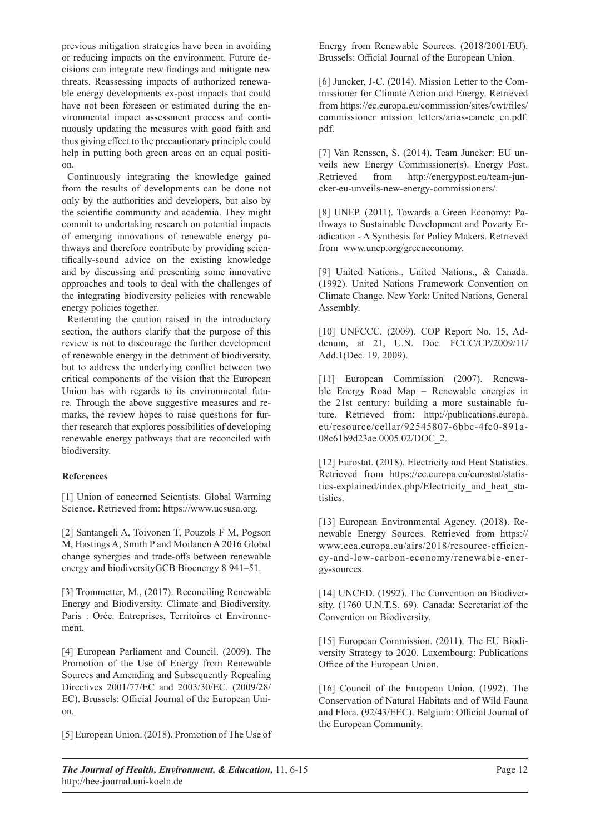previous mitigation strategies have been in avoiding or reducing impacts on the environment. Future decisions can integrate new findings and mitigate new threats. Reassessing impacts of authorized renewable energy developments ex-post impacts that could have not been foreseen or estimated during the environmental impact assessment process and continuously updating the measures with good faith and thus giving effect to the precautionary principle could help in putting both green areas on an equal position.

Continuously integrating the knowledge gained from the results of developments can be done not only by the authorities and developers, but also by the scientific community and academia. They might commit to undertaking research on potential impacts of emerging innovations of renewable energy pathways and therefore contribute by providing scientifically-sound advice on the existing knowledge and by discussing and presenting some innovative approaches and tools to deal with the challenges of the integrating biodiversity policies with renewable energy policies together.

Reiterating the caution raised in the introductory section, the authors clarify that the purpose of this review is not to discourage the further development of renewable energy in the detriment of biodiversity, but to address the underlying conflict between two critical components of the vision that the European Union has with regards to its environmental future. Through the above suggestive measures and remarks, the review hopes to raise questions for further research that explores possibilities of developing renewable energy pathways that are reconciled with biodiversity.

# **References**

[1] Union of concerned Scientists. Global Warming Science. Retrieved from: https://www.ucsusa.org.

[2] Santangeli A, Toivonen T, Pouzols F M, Pogson M, Hastings A, Smith P and Moilanen A 2016 Global change synergies and trade-offs between renewable energy and biodiversityGCB Bioenergy 8 941–51.

[3] Trommetter, M., (2017). Reconciling Renewable Energy and Biodiversity. Climate and Biodiversity. Paris : Orée. Entreprises, Territoires et Environnement.

[4] European Parliament and Council. (2009). The Promotion of the Use of Energy from Renewable Sources and Amending and Subsequently Repealing Directives 2001/77/EC and 2003/30/EC. (2009/28/ EC). Brussels: Official Journal of the European Union.

[5] European Union. (2018). Promotion of The Use of

Energy from Renewable Sources. (2018/2001/EU). Brussels: Official Journal of the European Union.

[6] Juncker, J-C. (2014). Mission Letter to the Commissioner for Climate Action and Energy. Retrieved from https://ec.europa.eu/commission/sites/cwt/files/ commissioner\_mission\_letters/arias-canete\_en.pdf. pdf.

[7] Van Renssen, S. (2014). Team Juncker: EU unveils new Energy Commissioner(s). Energy Post. Retrieved from http://energypost.eu/team-juncker-eu-unveils-new-energy-commissioners/.

[8] UNEP. (2011). Towards a Green Economy: Pathways to Sustainable Development and Poverty Eradication - A Synthesis for Policy Makers. Retrieved from www.unep.org/greeneconomy.

[9] United Nations., United Nations., & Canada. (1992). United Nations Framework Convention on Climate Change. New York: United Nations, General Assembly.

[10] UNFCCC. (2009). COP Report No. 15, Addenum, at 21, U.N. Doc. FCCC/CP/2009/11/ Add.1(Dec. 19, 2009).

[11] European Commission (2007). Renewable Energy Road Map – Renewable energies in the 21st century: building a more sustainable future. Retrieved from: http://publications.europa. eu/resource/cellar/92545807-6bbc-4fc0-891a-08c61b9d23ae.0005.02/DOC\_2.

[12] Eurostat. (2018). Electricity and Heat Statistics. Retrieved from https://ec.europa.eu/eurostat/statistics-explained/index.php/Electricity\_and\_heat\_statistics.

[13] European Environmental Agency. (2018). Renewable Energy Sources. Retrieved from https:// www.eea.europa.eu/airs/2018/resource-efficiency-and-low-carbon-economy/renewable-energy-sources.

[14] UNCED. (1992). The Convention on Biodiversity. (1760 U.N.T.S. 69). Canada: Secretariat of the Convention on Biodiversity.

[15] European Commission. (2011). The EU Biodiversity Strategy to 2020. Luxembourg: Publications Office of the European Union.

[16] Council of the European Union. (1992). The Conservation of Natural Habitats and of Wild Fauna and Flora. (92/43/EEC). Belgium: Official Journal of the European Community.

*The Journal of Health, Environment, & Education,* 11, 6-15 http://hee-journal.uni-koeln.de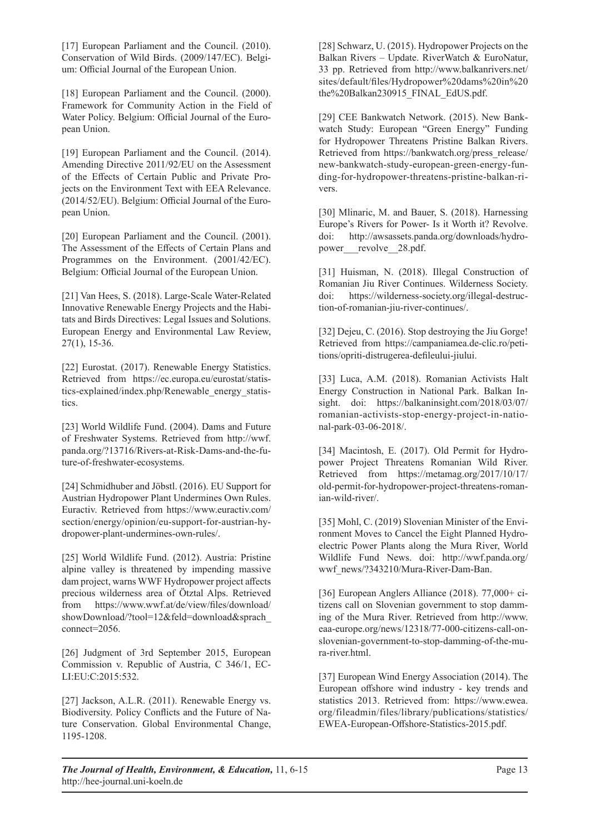[17] European Parliament and the Council. (2010). Conservation of Wild Birds. (2009/147/EC). Belgium: Official Journal of the European Union.

[18] European Parliament and the Council. (2000). Framework for Community Action in the Field of Water Policy. Belgium: Official Journal of the European Union.

[19] European Parliament and the Council. (2014). Amending Directive 2011/92/EU on the Assessment of the Effects of Certain Public and Private Projects on the Environment Text with EEA Relevance. (2014/52/EU). Belgium: Official Journal of the European Union.

[20] European Parliament and the Council. (2001). The Assessment of the Effects of Certain Plans and Programmes on the Environment. (2001/42/EC). Belgium: Official Journal of the European Union.

[21] Van Hees, S. (2018). Large-Scale Water-Related Innovative Renewable Energy Projects and the Habitats and Birds Directives: Legal Issues and Solutions. European Energy and Environmental Law Review, 27(1), 15-36.

[22] Eurostat. (2017). Renewable Energy Statistics. Retrieved from https://ec.europa.eu/eurostat/statistics-explained/index.php/Renewable\_energy\_statistics.

[23] World Wildlife Fund. (2004). Dams and Future of Freshwater Systems. Retrieved from http://wwf. panda.org/?13716/Rivers-at-Risk-Dams-and-the-future-of-freshwater-ecosystems.

[24] Schmidhuber and Jöbstl. (2016). EU Support for Austrian Hydropower Plant Undermines Own Rules. Euractiv. Retrieved from https://www.euractiv.com/ section/energy/opinion/eu-support-for-austrian-hydropower-plant-undermines-own-rules/.

[25] World Wildlife Fund. (2012). Austria: Pristine alpine valley is threatened by impending massive dam project, warns WWF Hydropower project affects precious wilderness area of Ötztal Alps. Retrieved from https://www.wwf.at/de/view/files/download/ showDownload/?tool=12&feld=download&sprach\_ connect=2056.

[26] Judgment of 3rd September 2015, European Commission v. Republic of Austria, C 346/1, EC-LI:EU:C:2015:532.

[27] Jackson, A.L.R. (2011). Renewable Energy vs. Biodiversity. Policy Conflicts and the Future of Nature Conservation. Global Environmental Change, 1195-1208.

[28] Schwarz, U. (2015). Hydropower Projects on the Balkan Rivers – Update. RiverWatch & EuroNatur, 33 pp. Retrieved from http://www.balkanrivers.net/ sites/default/files/Hydropower%20dams%20in%20 the%20Balkan230915\_FINAL\_EdUS.pdf.

[29] CEE Bankwatch Network. (2015). New Bankwatch Study: European "Green Energy" Funding for Hydropower Threatens Pristine Balkan Rivers. Retrieved from https://bankwatch.org/press\_release/ new-bankwatch-study-european-green-energy-funding-for-hydropower-threatens-pristine-balkan-rivers.

[30] Mlinaric, M. and Bauer, S. (2018). Harnessing Europe's Rivers for Power- Is it Worth it? Revolve. doi: http://awsassets.panda.org/downloads/hydropower revolve 28.pdf.

[31] Huisman, N. (2018). Illegal Construction of Romanian Jiu River Continues. Wilderness Society. doi: https://wilderness-society.org/illegal-destruction-of-romanian-jiu-river-continues/.

[32] Dejeu, C. (2016). Stop destroying the Jiu Gorge! Retrieved from https://campaniamea.de-clic.ro/petitions/opriti-distrugerea-defileului-jiului.

[33] Luca, A.M. (2018). Romanian Activists Halt Energy Construction in National Park. Balkan Insight. doi: https://balkaninsight.com/2018/03/07/ romanian-activists-stop-energy-project-in-national-park-03-06-2018/.

[34] Macintosh, E. (2017). Old Permit for Hydropower Project Threatens Romanian Wild River. Retrieved from https://metamag.org/2017/10/17/ old-permit-for-hydropower-project-threatens-romanian-wild-river/.

[35] Mohl, C. (2019) Slovenian Minister of the Environment Moves to Cancel the Eight Planned Hydroelectric Power Plants along the Mura River, World Wildlife Fund News. doi: http://wwf.panda.org/ wwf\_news/?343210/Mura-River-Dam-Ban.

[36] European Anglers Alliance (2018). 77,000+ citizens call on Slovenian government to stop damming of the Mura River. Retrieved from http://www. eaa-europe.org/news/12318/77-000-citizens-call-onslovenian-government-to-stop-damming-of-the-mura-river.html.

[37] European Wind Energy Association (2014). The European offshore wind industry - key trends and statistics 2013. Retrieved from: https://www.ewea. org/fileadmin/files/library/publications/statistics/ EWEA-European-Offshore-Statistics-2015.pdf.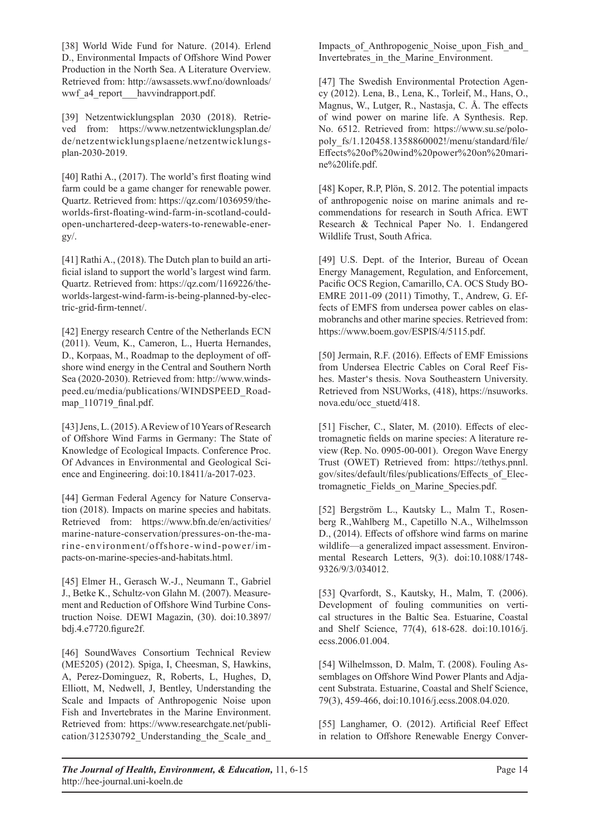[38] World Wide Fund for Nature. (2014). Erlend D., Environmental Impacts of Offshore Wind Power Production in the North Sea. A Literature Overview. Retrieved from: http://awsassets.wwf.no/downloads/ wwf a4 report havvindrapport.pdf.

[39] Netzentwicklungsplan 2030 (2018). Retrieved from: https://www.netzentwicklungsplan.de/ de/netzentwicklungsplaene/netzentwicklungsplan-2030-2019.

[40] Rathi A., (2017). The world's first floating wind farm could be a game changer for renewable power. Quartz. Retrieved from: https://qz.com/1036959/theworlds-first-floating-wind-farm-in-scotland-couldopen-unchartered-deep-waters-to-renewable-ener $gy/$ .

[41] Rathi A., (2018). The Dutch plan to build an artificial island to support the world's largest wind farm. Quartz. Retrieved from: https://qz.com/1169226/theworlds-largest-wind-farm-is-being-planned-by-electric-grid-firm-tennet/.

[42] Energy research Centre of the Netherlands ECN (2011). Veum, K., Cameron, L., Huerta Hernandes, D., Korpaas, M., Roadmap to the deployment of offshore wind energy in the Central and Southern North Sea (2020-2030). Retrieved from: http://www.windspeed.eu/media/publications/WINDSPEED\_Roadmap 110719 final.pdf.

[43] Jens, L. (2015). A Review of 10 Years of Research of Offshore Wind Farms in Germany: The State of Knowledge of Ecological Impacts. Conference Proc. Of Advances in Environmental and Geological Science and Engineering. doi:10.18411/a-2017-023.

[44] German Federal Agency for Nature Conservation (2018). Impacts on marine species and habitats. Retrieved from: https://www.bfn.de/en/activities/ marine-nature-conservation/pressures-on-the-marine-environment/offshore-wind-power/impacts-on-marine-species-and-habitats.html.

[45] Elmer H., Gerasch W.-J., Neumann T., Gabriel J., Betke K., Schultz-von Glahn M. (2007). Measurement and Reduction of Offshore Wind Turbine Construction Noise. DEWI Magazin, (30). doi:10.3897/ bdj.4.e7720.figure2f.

[46] SoundWaves Consortium Technical Review (ME5205) (2012). Spiga, I, Cheesman, S, Hawkins, A, Perez-Dominguez, R, Roberts, L, Hughes, D, Elliott, M, Nedwell, J, Bentley, Understanding the Scale and Impacts of Anthropogenic Noise upon Fish and Invertebrates in the Marine Environment. Retrieved from: https://www.researchgate.net/publication/312530792\_Understanding\_the\_Scale\_and\_

Impacts of Anthropogenic Noise upon Fish and Invertebrates in the Marine Environment.

[47] The Swedish Environmental Protection Agency (2012). Lena, B., Lena, K., Torleif, M., Hans, O., Magnus, W., Lutger, R., Nastasja, C. Å. The effects of wind power on marine life. A Synthesis. Rep. No. 6512. Retrieved from: https://www.su.se/polopoly\_fs/1.120458.1358860002!/menu/standard/file/ Effects%20of%20wind%20power%20on%20marine%20life.pdf.

[48] Koper, R.P, Plön, S. 2012. The potential impacts of anthropogenic noise on marine animals and recommendations for research in South Africa. EWT Research & Technical Paper No. 1. Endangered Wildlife Trust, South Africa.

[49] U.S. Dept. of the Interior, Bureau of Ocean Energy Management, Regulation, and Enforcement, Pacific OCS Region, Camarillo, CA. OCS Study BO-EMRE 2011-09 (2011) Timothy, T., Andrew, G. Effects of EMFS from undersea power cables on elasmobranchs and other marine species. Retrieved from: https://www.boem.gov/ESPIS/4/5115.pdf.

[50] Jermain, R.F. (2016). Effects of EMF Emissions from Undersea Electric Cables on Coral Reef Fishes. Master's thesis. Nova Southeastern University. Retrieved from NSUWorks, (418), https://nsuworks. nova.edu/occ\_stuetd/418.

[51] Fischer, C., Slater, M. (2010). Effects of electromagnetic fields on marine species: A literature review (Rep. No. 0905-00-001). Oregon Wave Energy Trust (OWET) Retrieved from: https://tethys.pnnl. gov/sites/default/files/publications/Effects\_of\_Electromagnetic\_Fields\_on\_Marine\_Species.pdf.

[52] Bergström L., Kautsky L., Malm T., Rosenberg R.,Wahlberg M., Capetillo N.A., Wilhelmsson D., (2014). Effects of offshore wind farms on marine wildlife—a generalized impact assessment. Environmental Research Letters, 9(3). doi:10.1088/1748- 9326/9/3/034012.

[53] Qvarfordt, S., Kautsky, H., Malm, T. (2006). Development of fouling communities on vertical structures in the Baltic Sea. Estuarine, Coastal and Shelf Science, 77(4), 618-628. doi:10.1016/j. ecss.2006.01.004.

[54] Wilhelmsson, D. Malm, T. (2008). Fouling Assemblages on Offshore Wind Power Plants and Adjacent Substrata. Estuarine, Coastal and Shelf Science, 79(3), 459-466, doi:10.1016/j.ecss.2008.04.020.

[55] Langhamer, O. (2012). Artificial Reef Effect in relation to Offshore Renewable Energy Conver